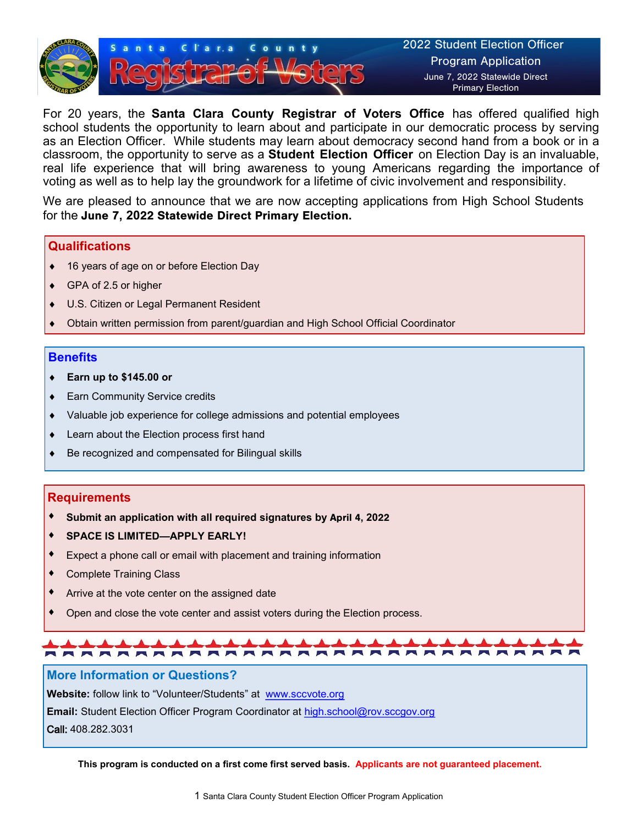

For 20 years, the **Santa Clara County Registrar of Voters Office** has offered qualified high school students the opportunity to learn about and participate in our democratic process by serving as an Election Officer. While students may learn about democracy second hand from a book or in a classroom, the opportunity to serve as a **Student Election Officer** on Election Day is an invaluable, real life experience that will bring awareness to young Americans regarding the importance of voting as well as to help lay the groundwork for a lifetime of civic involvement and responsibility.

We are pleased to announce that we are now accepting applications from High School Students for the June 7**, 20**22 Statewide Direct Primary Election**.**

#### **Qualifications**

- 16 years of age on or before Election Day
- GPA of 2.5 or higher
- U.S. Citizen or Legal Permanent Resident
- Obtain written permission from parent/guardian and High School Official Coordinator

#### **Benefits**

- **Earn up to \$145.00 or**
- ◆ Earn Community Service credits
- Valuable job experience for college admissions and potential employees
- Learn about the Election process first hand
- Be recognized and compensated for Bilingual skills

#### **Requirements**

- **Submit an application with all required signatures by** April 4**, 20**22
- **SPACE IS LIMITED—APPLY EARLY!**
- Expect a phone call or email with placement and training information
- Complete Training Class
- Arrive at the vote center on the assigned date
- Open and close the vote center and assist voters during the Election process.

# 

#### **More Information or Questions?**

**Website:** follow link to "Volunteer/Students" at [www.sccvote.org](http://www.sccvote.org/)

**Email:** Student Election Officer Program Coordinator at [high.school@rov.sccgov.org](mailto:high.school@rov.sccgov.org)

Call: 408.282.3031

**This program is conducted on a first come first served basis. Applicants are not guaranteed placement.**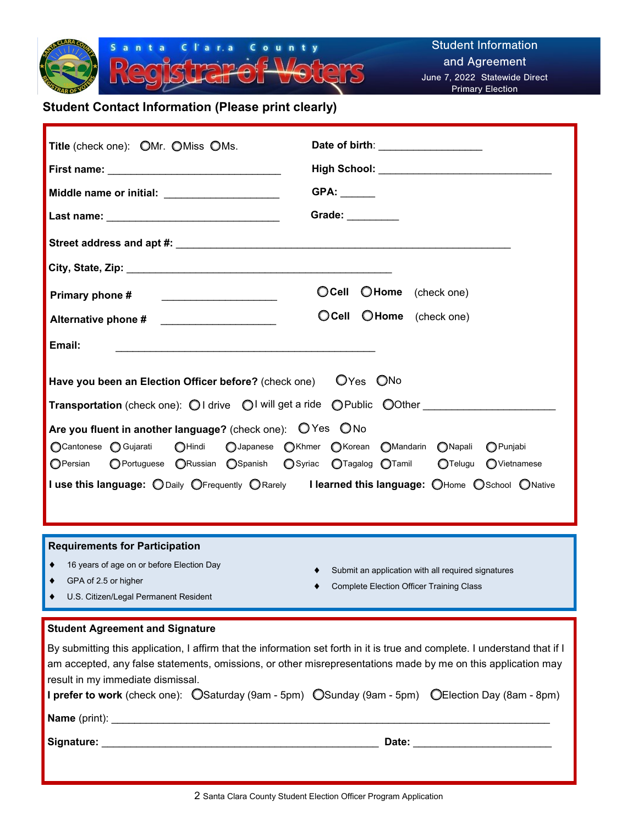

### **Student Contact Information (Please print clearly)**

| Title (check one): OMr. OMiss OMs.                                                                                                                                                       | Date of birth: ___________________                                                            |
|------------------------------------------------------------------------------------------------------------------------------------------------------------------------------------------|-----------------------------------------------------------------------------------------------|
|                                                                                                                                                                                          |                                                                                               |
| Middle name or initial: _______________________                                                                                                                                          |                                                                                               |
|                                                                                                                                                                                          | Grade: ________                                                                               |
|                                                                                                                                                                                          |                                                                                               |
|                                                                                                                                                                                          |                                                                                               |
| Primary phone #                                                                                                                                                                          | OCell OHome (check one)                                                                       |
| Alternative phone # _____________________                                                                                                                                                | O Cell O Home (check one)                                                                     |
| Email:<br><u> 1989 - Johann John Stoff, deutscher Stoffen und der Stoffen und der Stoffen und der Stoffen und der Stoffen u</u>                                                          |                                                                                               |
| Have you been an Election Officer before? (check one) OYes ONo<br><b>Transportation</b> (check one): $\bigcirc$ I drive $\bigcirc$ I will get a ride $\bigcirc$ Public $\bigcirc$ O0ther |                                                                                               |
| Are you fluent in another language? (check one): $\bigcirc$ Yes $\bigcirc$ No                                                                                                            |                                                                                               |
| ○ Cantonese ○ Gujarati<br>O Portuguese O Russian O Spanish O Syriac O Tagalog O Tamil<br>OPersian                                                                                        | OHindi OJapanese OKhmer OKorean OMandarin ONapali<br>$\bigcap$ Punjabi<br>OTelugu OVietnamese |
| I use this language: O Daily OFrequently O Rarely I learned this language: O Home O School O Native                                                                                      |                                                                                               |

#### **Requirements for Participation**

|  | 16 years of age on or before Election Day |  |  |  |  |
|--|-------------------------------------------|--|--|--|--|
|--|-------------------------------------------|--|--|--|--|

◆ GPA of 2.5 or higher

- Submit an application with all required signatures
- Complete Election Officer Training Class

U.S. Citizen/Legal Permanent Resident

#### **Student Agreement and Signature**

| By submitting this application, I affirm that the information set forth in it is true and complete. I understand that if I<br>am accepted, any false statements, omissions, or other misrepresentations made by me on this application may |  |                                 |
|--------------------------------------------------------------------------------------------------------------------------------------------------------------------------------------------------------------------------------------------|--|---------------------------------|
| result in my immediate dismissal.                                                                                                                                                                                                          |  |                                 |
| <b>I prefer to work</b> (check one): $\bigcirc$ Saturday (9am - 5pm) $\bigcirc$ Sunday (9am - 5pm) $\bigcirc$ Election Day (8am - 8pm)                                                                                                     |  |                                 |
| <b>Name</b> (print):                                                                                                                                                                                                                       |  |                                 |
|                                                                                                                                                                                                                                            |  | Date: <u>__________________</u> |
|                                                                                                                                                                                                                                            |  |                                 |